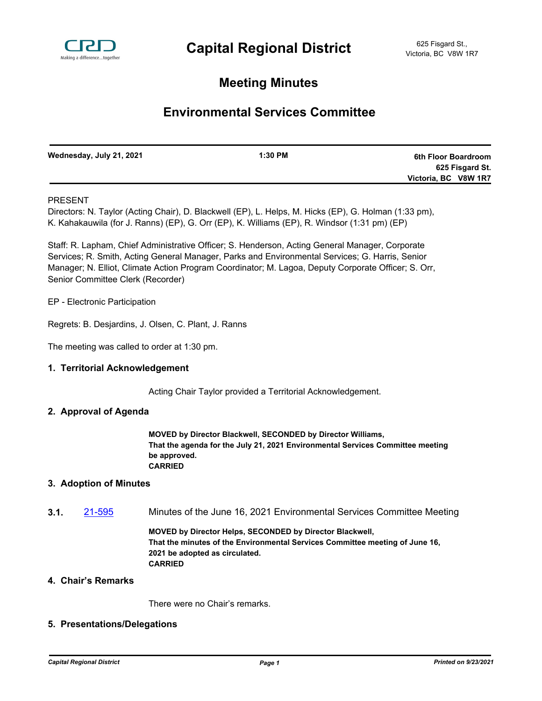

# **Meeting Minutes**

# **Environmental Services Committee**

| Wednesday, July 21, 2021 | $1:30$ PM | 6th Floor Boardroom  |
|--------------------------|-----------|----------------------|
|                          |           | 625 Fisgard St.      |
|                          |           | Victoria, BC V8W 1R7 |

### PRESENT

Directors: N. Taylor (Acting Chair), D. Blackwell (EP), L. Helps, M. Hicks (EP), G. Holman (1:33 pm), K. Kahakauwila (for J. Ranns) (EP), G. Orr (EP), K. Williams (EP), R. Windsor (1:31 pm) (EP)

Staff: R. Lapham, Chief Administrative Officer; S. Henderson, Acting General Manager, Corporate Services; R. Smith, Acting General Manager, Parks and Environmental Services; G. Harris, Senior Manager; N. Elliot, Climate Action Program Coordinator; M. Lagoa, Deputy Corporate Officer; S. Orr, Senior Committee Clerk (Recorder)

EP - Electronic Participation

Regrets: B. Desjardins, J. Olsen, C. Plant, J. Ranns

The meeting was called to order at 1:30 pm.

#### **1. Territorial Acknowledgement**

Acting Chair Taylor provided a Territorial Acknowledgement.

#### **2. Approval of Agenda**

**MOVED by Director Blackwell, SECONDED by Director Williams, That the agenda for the July 21, 2021 Environmental Services Committee meeting be approved. CARRIED**

#### **3. Adoption of Minutes**

**3.1.** [21-595](http://crd.ca.legistar.com/gateway.aspx?m=l&id=/matter.aspx?key=8543) Minutes of the June 16, 2021 Environmental Services Committee Meeting

**MOVED by Director Helps, SECONDED by Director Blackwell, That the minutes of the Environmental Services Committee meeting of June 16, 2021 be adopted as circulated. CARRIED**

#### **4. Chair's Remarks**

There were no Chair's remarks.

#### **5. Presentations/Delegations**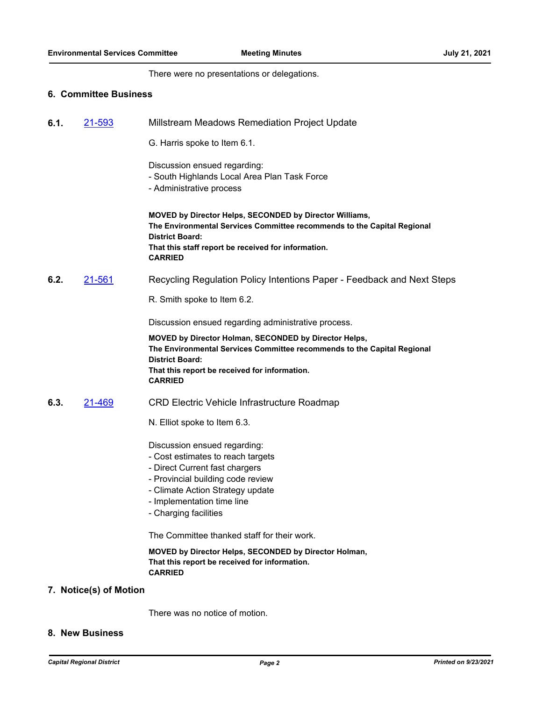There were no presentations or delegations.

#### **6. Committee Business**

| 21-593<br>Millstream Meadows Remediation Project Update<br>6.1. |  |
|-----------------------------------------------------------------|--|
|-----------------------------------------------------------------|--|

G. Harris spoke to Item 6.1.

Discussion ensued regarding:

- South Highlands Local Area Plan Task Force
- Administrative process

**MOVED by Director Helps, SECONDED by Director Williams, The Environmental Services Committee recommends to the Capital Regional District Board: That this staff report be received for information. CARRIED**

### **6.2.** [21-561](http://crd.ca.legistar.com/gateway.aspx?m=l&id=/matter.aspx?key=8509) Recycling Regulation Policy Intentions Paper - Feedback and Next Steps

R. Smith spoke to Item 6.2.

Discussion ensued regarding administrative process.

**MOVED by Director Holman, SECONDED by Director Helps, The Environmental Services Committee recommends to the Capital Regional District Board: That this report be received for information. CARRIED**

#### **6.3.** [21-469](http://crd.ca.legistar.com/gateway.aspx?m=l&id=/matter.aspx?key=8417) CRD Electric Vehicle Infrastructure Roadmap

N. Elliot spoke to Item 6.3.

Discussion ensued regarding:

- Cost estimates to reach targets
- Direct Current fast chargers
- Provincial building code review
- Climate Action Strategy update
- Implementation time line
- Charging facilities

The Committee thanked staff for their work.

**MOVED by Director Helps, SECONDED by Director Holman, That this report be received for information. CARRIED**

#### **7. Notice(s) of Motion**

There was no notice of motion.

#### **8. New Business**